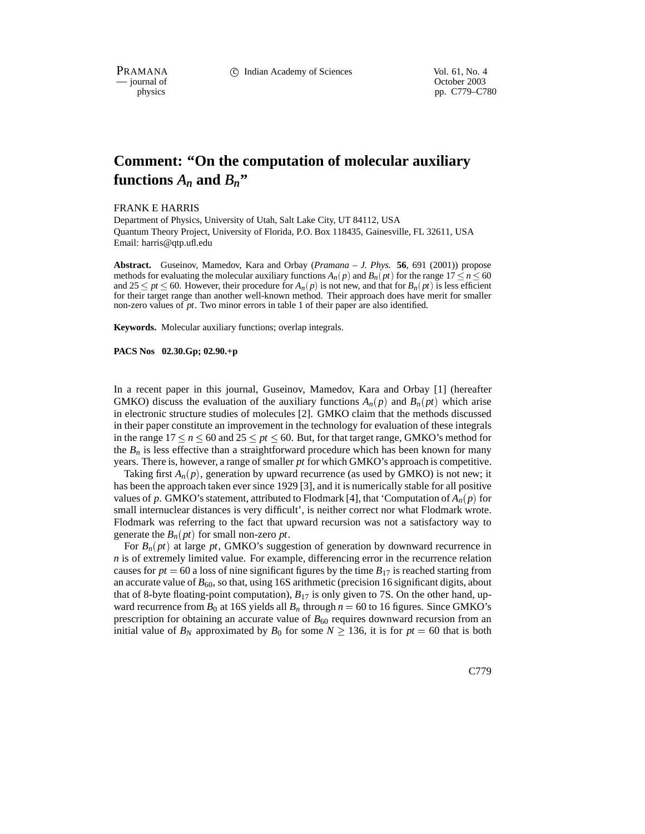PRAMANA C Indian Academy of Sciences Vol. 61, No. 4<br>
— iournal of Corober 2003

— journal of<br>physics

pp. C779–C780

## **Comment: "On the computation of molecular auxiliary** functions  $A_n$  and  $B_n$ "

FRANK E HARRIS

Department of Physics, University of Utah, Salt Lake City, UT 84112, USA Quantum Theory Project, University of Florida, P.O. Box 118435, Gainesville, FL 32611, USA Email: harris@qtp.ufl.edu

**Abstract.** Guseinov, Mamedov, Kara and Orbay (*Pramana – J. Phys.* **56**, 691 (2001)) propose methods for evaluating the molecular auxiliary functions  $A_n(p)$  and  $B_n(pt)$  for the range  $17 \le n \le 60$ and  $25 \le pt \le 60$ . However, their procedure for  $A_n(p)$  is not new, and that for  $B_n(pt)$  is less efficient for their target range than another well-known method. Their approach does have merit for smaller non-zero values of *pt*. Two minor errors in table 1 of their paper are also identified.

**Keywords.** Molecular auxiliary functions; overlap integrals.

**PACS Nos 02.30.Gp; 02.90.+p**

In a recent paper in this journal, Guseinov, Mamedov, Kara and Orbay [1] (hereafter GMKO) discuss the evaluation of the auxiliary functions  $A_n(p)$  and  $B_n(pt)$  which arise in electronic structure studies of molecules [2]. GMKO claim that the methods discussed in their paper constitute an improvement in the technology for evaluation of these integrals in the range  $17 \le n \le 60$  and  $25 \le pt \le 60$ . But, for that target range, GMKO's method for the  $B_n$  is less effective than a straightforward procedure which has been known for many years. There is, however, a range of smaller *pt* for which GMKO's approach is competitive.

Taking first  $A_n(p)$ , generation by upward recurrence (as used by GMKO) is not new; it has been the approach taken ever since 1929 [3], and it is numerically stable for all positive values of p. GMKO's statement, attributed to Flodmark [4], that 'Computation of  $A_n(p)$  for small internuclear distances is very difficult', is neither correct nor what Flodmark wrote. Flodmark was referring to the fact that upward recursion was not a satisfactory way to generate the  $B_n(pt)$  for small non-zero *pt*.

For  $B_n(pt)$  at large pt, GMKO's suggestion of generation by downward recurrence in *n* is of extremely limited value. For example, differencing error in the recurrence relation causes for  $pt = 60$  a loss of nine significant figures by the time  $B_{17}$  is reached starting from an accurate value of  $B_{60}$ , so that, using 16S arithmetic (precision 16 significant digits, about that of 8-byte floating-point computation),  $B_{17}$  is only given to 7S. On the other hand, upward recurrence from  $B_0$  at 16S yields all  $B_n$  through  $n = 60$  to 16 figures. Since GMKO's prescription for obtaining an accurate value of  $B_{60}$  requires downward recursion from an initial value of  $B_N$  approximated by  $B_0$  for some  $N \ge 136$ , it is for  $pt = 60$  that is both